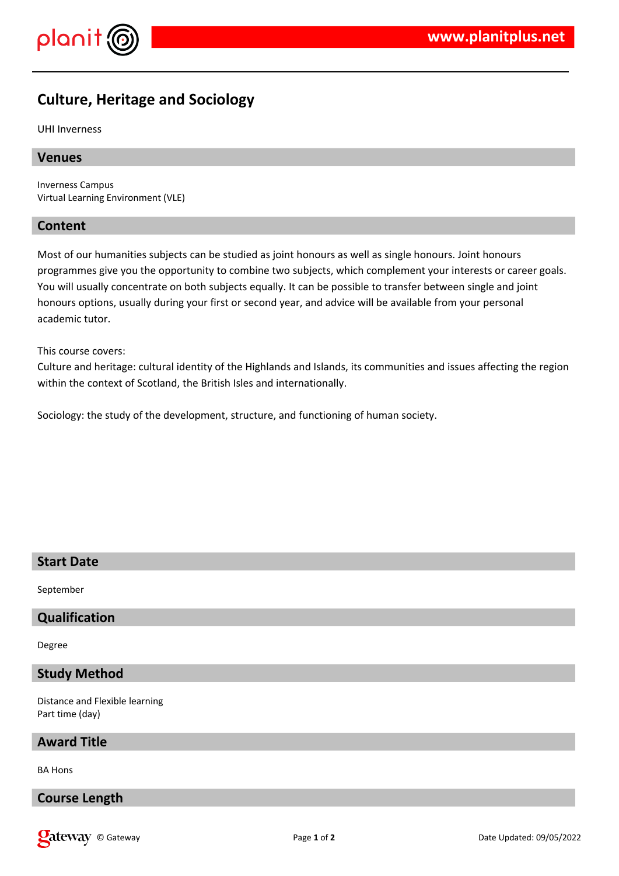

# **Culture, Heritage and Sociology**

UHI Inverness

#### **Venues**

Inverness Campus Virtual Learning Environment (VLE)

#### **Content**

Most of our humanities subjects can be studied as joint honours as well as single honours. Joint honours programmes give you the opportunity to combine two subjects, which complement your interests or career goals. You will usually concentrate on both subjects equally. It can be possible to transfer between single and joint honours options, usually during your first or second year, and advice will be available from your personal academic tutor.

This course covers:

Culture and heritage: cultural identity of the Highlands and Islands, its communities and issues affecting the region within the context of Scotland, the British Isles and internationally.

Sociology: the study of the development, structure, and functioning of human society.

## **Start Date**

September

#### **Qualification**

Degree

**Study Method**

Distance and Flexible learning Part time (day)

#### **Award Title**

BA Hons

**Course Length**

**Qateway** © Gateway **Page 1** of 2 Date Updated: 09/05/2022 Date Updated: 09/05/2022